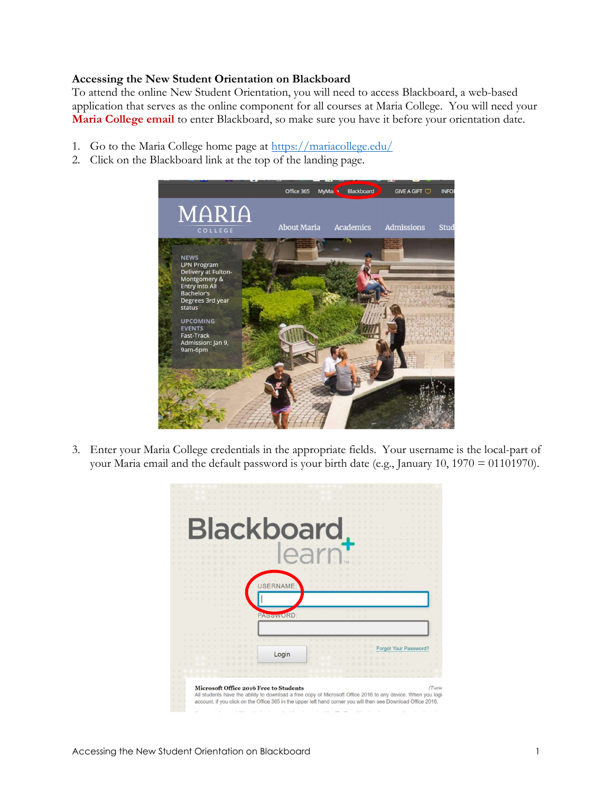## Accessing the New Student Orientation on Blackboard

To attend the online New Student Orientation, you will need to access Blackboard, a web-based application that serves as the online component for all courses at Maria College. You will need your Maria College email to enter Blackboard, so make sure you have it before your orientation date.

- 1. Go to the Maria College home page at https://mariacollege.edu/
- 2. Click on the Blackboard link at the top of the landing page.



3. Enter your Maria College credentials in the appropriate fields. Your username is the local-part of your Maria email and the default password is your birth date (e.g., January 10, 1970 = 01101970).

|                                        | <b>Blackboard</b>                                                                                                                                                                                                                              |
|----------------------------------------|------------------------------------------------------------------------------------------------------------------------------------------------------------------------------------------------------------------------------------------------|
|                                        | <b>JSERNAME</b>                                                                                                                                                                                                                                |
|                                        | PASSWORD:                                                                                                                                                                                                                                      |
|                                        | Forgot Your Password?<br>Login                                                                                                                                                                                                                 |
| Microsoft Office 2016 Free to Students | <i>CTuesc</i><br>All students have the ability to download a free copy of Microsoft Office 2016 to any device. When you logii<br>account, if you click on the Office 365 in the upper left hand corner you will then see Download Office 2016. |